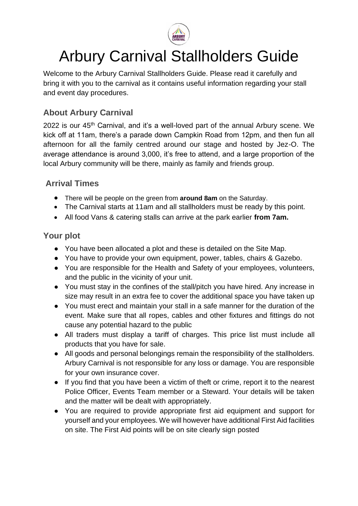

# Arbury Carnival Stallholders Guide

Welcome to the Arbury Carnival Stallholders Guide. Please read it carefully and bring it with you to the carnival as it contains useful information regarding your stall and event day procedures.

## **About Arbury Carnival**

2022 is our 45<sup>th</sup> Carnival, and it's a well-loved part of the annual Arbury scene. We kick off at 11am, there's a parade down Campkin Road from 12pm, and then fun all afternoon for all the family centred around our stage and hosted by Jez-O. The average attendance is around 3,000, it's free to attend, and a large proportion of the local Arbury community will be there, mainly as family and friends group.

#### **Arrival Times**

- There will be people on the green from **around 8am** on the Saturday.
- The Carnival starts at 11am and all stallholders must be ready by this point.
- All food Vans & catering stalls can arrive at the park earlier **from 7am.**

#### **Your plot**

- You have been allocated a plot and these is detailed on the Site Map.
- You have to provide your own equipment, power, tables, chairs & Gazebo.
- You are responsible for the Health and Safety of your employees, volunteers, and the public in the vicinity of your unit.
- You must stay in the confines of the stall/pitch you have hired. Any increase in size may result in an extra fee to cover the additional space you have taken up
- You must erect and maintain your stall in a safe manner for the duration of the event. Make sure that all ropes, cables and other fixtures and fittings do not cause any potential hazard to the public
- All traders must display a tariff of charges. This price list must include all products that you have for sale.
- All goods and personal belongings remain the responsibility of the stallholders. Arbury Carnival is not responsible for any loss or damage. You are responsible for your own insurance cover.
- If you find that you have been a victim of theft or crime, report it to the nearest Police Officer, Events Team member or a Steward. Your details will be taken and the matter will be dealt with appropriately.
- You are required to provide appropriate first aid equipment and support for yourself and your employees. We will however have additional First Aid facilities on site. The First Aid points will be on site clearly sign posted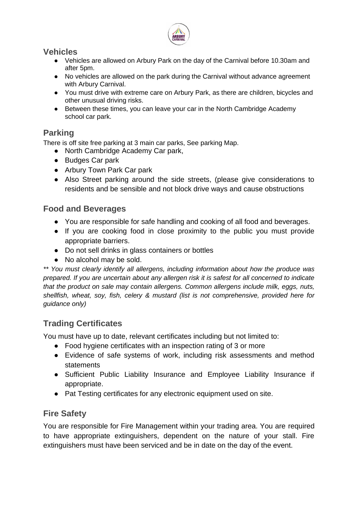

#### **Vehicles**

- Vehicles are allowed on Arbury Park on the day of the Carnival before 10.30am and after 5pm.
- No vehicles are allowed on the park during the Carnival without advance agreement with Arbury Carnival.
- You must drive with extreme care on Arbury Park, as there are children, bicycles and other unusual driving risks.
- Between these times, you can leave your car in the North Cambridge Academy school car park.

## **Parking**

There is off site free parking at 3 main car parks, See parking Map.

- North Cambridge Academy Car park,
- Budges Car park
- Arbury Town Park Car park
- Also Street parking around the side streets, (please give considerations to residents and be sensible and not block drive ways and cause obstructions

#### **Food and Beverages**

- You are responsible for safe handling and cooking of all food and beverages.
- If you are cooking food in close proximity to the public you must provide appropriate barriers.
- Do not sell drinks in glass containers or bottles
- No alcohol may be sold.

*\*\* You must clearly identify all allergens, including information about how the produce was prepared. If you are uncertain about any allergen risk it is safest for all concerned to indicate that the product on sale may contain allergens. Common allergens include milk, eggs, nuts, shellfish, wheat, soy, fish, celery & mustard (list is not comprehensive, provided here for guidance only)*

## **Trading Certificates**

You must have up to date, relevant certificates including but not limited to:

- Food hygiene certificates with an inspection rating of 3 or more
- Evidence of safe systems of work, including risk assessments and method statements
- Sufficient Public Liability Insurance and Employee Liability Insurance if appropriate.
- Pat Testing certificates for any electronic equipment used on site.

## **Fire Safety**

You are responsible for Fire Management within your trading area. You are required to have appropriate extinguishers, dependent on the nature of your stall. Fire extinguishers must have been serviced and be in date on the day of the event.